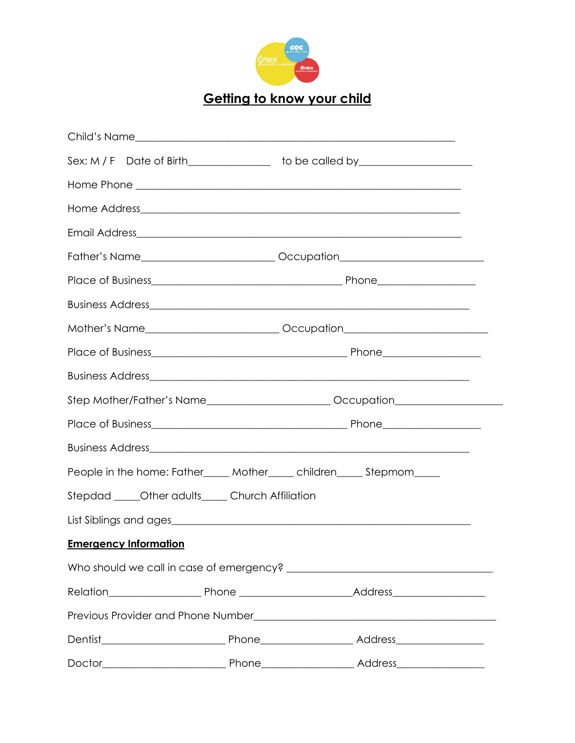

**Getting to know your child**

| Sex: M / F Date of Birth________________ to be called by________________________  |  |  |  |
|-----------------------------------------------------------------------------------|--|--|--|
|                                                                                   |  |  |  |
|                                                                                   |  |  |  |
|                                                                                   |  |  |  |
| Father's Name____________________________Occupation_____________________________  |  |  |  |
|                                                                                   |  |  |  |
|                                                                                   |  |  |  |
| Mother's Name_________________________________Occupation________________________  |  |  |  |
|                                                                                   |  |  |  |
|                                                                                   |  |  |  |
| Step Mother/Father's Name_____________________________Occupation_________________ |  |  |  |
|                                                                                   |  |  |  |
|                                                                                   |  |  |  |
| People in the home: Father_____ Mother_____ children_____ Stepmom____             |  |  |  |
| Stepdad _____Other adults_____Church Affiliation                                  |  |  |  |
|                                                                                   |  |  |  |
| <b>Emergency Information</b>                                                      |  |  |  |
|                                                                                   |  |  |  |
|                                                                                   |  |  |  |
|                                                                                   |  |  |  |
|                                                                                   |  |  |  |
|                                                                                   |  |  |  |